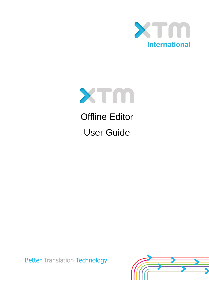



Offline Editor User Guide

**Better Translation Technology** 

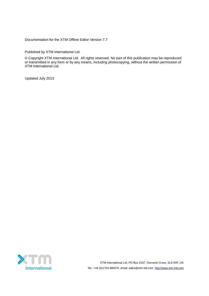Documentation for the XTM Offline Editor Version 7.7

Published by XTM International Ltd.

© Copyright XTM International Ltd. All rights reserved. No part of this publication may be reproduced or transmitted in any form or by any means, including photocopying, without the written permission of XTM International Ltd.

Updated July 2013

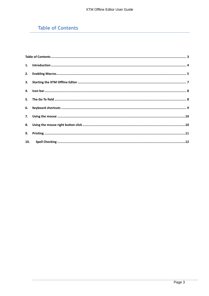# <span id="page-2-0"></span>**Table of Contents**

| 10. |  |
|-----|--|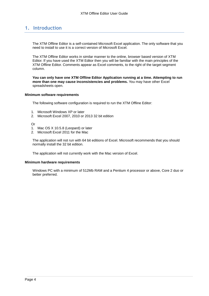### <span id="page-3-0"></span>**1. Introduction**

The XTM Offline Editor is a self-contained Microsoft Excel application. The only software that you need to install to use it is a correct version of Microsoft Excel.

The XTM Offline Editor works in similar manner to the online, browser based version of XTM Editor. If you have used the XTM Editor then you will be familiar with the main principles of the XTM Offline Editor. Comments appear as Excel comments, to the right of the target segment column.

**You can only have one XTM Offline Editor Application running at a time. Attempting to run more than one may cause inconsistencies and problems.** You may have other Excel spreadsheets open.

#### **Minimum software requirements**

The following software configuration is required to run the XTM Offline Editor:

- 1. Microsoft Windows XP or later
- 2. Microsoft Excel 2007, 2010 or 2013 32 bit edition

Or

- 1. Mac OS X 10.5.8 (Leopard) or later
- 2. Microsoft Excel 2011 for the Mac

The application will not run with 64 bit editions of Excel. Microsoft recommends that you should normally install the 32 bit edition.

The application will not currently work with the Mac version of Excel.

#### **Minimum hardware requirements**

Windows PC with a minimum of 512Mb RAM and a Pentium 4 processor or above, Core 2 duo or better preferred.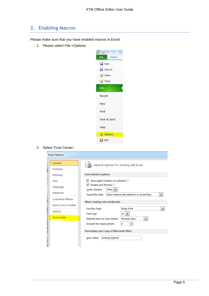## <span id="page-4-0"></span>**2. Enabling Macros**

Please make sure that you have enabled macros in Excel:

1. Please select File->Options:



#### 2. Select Trust Center:

| <b>Excel Options</b>        |                                                                                          |  |  |  |
|-----------------------------|------------------------------------------------------------------------------------------|--|--|--|
| General                     | General options for working with Excel.                                                  |  |  |  |
| <b>Formulas</b>             |                                                                                          |  |  |  |
| Proofing                    | <b>User Interface options</b>                                                            |  |  |  |
| Save                        | Show Mini Toolbar on selection $\odot$                                                   |  |  |  |
| Language                    | Enable Live Preview <sup>1</sup><br>√<br>Silver $\blacktriangleright$<br>Color scheme:   |  |  |  |
| Advanced                    | ScreenTip style:<br>Show feature descriptions in ScreenTips<br>▼                         |  |  |  |
| Customize Ribbon            | When creating new workbooks                                                              |  |  |  |
| <b>Ouick Access Toolbar</b> |                                                                                          |  |  |  |
| Add-Ins                     | <b>Body Font</b><br>Use this font:                                                       |  |  |  |
| <b>Trust Center</b>         | Font size:<br>11 <sup>1</sup><br><b>Normal View</b><br>Default view for new sheets:<br>▼ |  |  |  |
|                             | ÷<br>з<br>Include this many sheets:                                                      |  |  |  |
|                             | Personalize your copy of Microsoft Office                                                |  |  |  |
|                             | Andrzej Zydroń<br>User name:                                                             |  |  |  |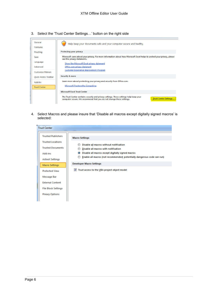3. Select the 'Trust Center Settings…' button on the right side



4. Select Macros and please insure that 'Disable all macros except digitally signed macros' is selected:

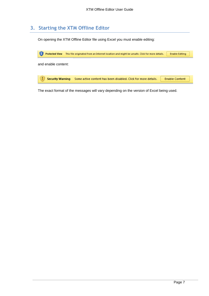## <span id="page-6-0"></span>**3. Starting the XTM Offline Editor**

On opening the XTM Offline Editor file using Excel you must enable editing:



The exact format of the messages will vary depending on the version of Excel being used.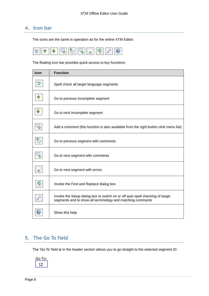## <span id="page-7-0"></span>**4. Icon bar**

The icons are the same in operation as for the online XTM Editor:



The floating icon bar provides quick access to key functions:

| <b>Icon</b> | <b>Function</b>                                                                                                                             |
|-------------|---------------------------------------------------------------------------------------------------------------------------------------------|
|             | Spell check all target language segments                                                                                                    |
|             | Go to previous incomplete segment                                                                                                           |
|             | Go to next incomplete segment                                                                                                               |
|             | Add a comment (this function is also available from the right button click menu list)                                                       |
|             | Go to previous segment with comments                                                                                                        |
|             | Go to next segment with comments                                                                                                            |
|             | Go to next segment with errors                                                                                                              |
|             | Invoke the Find and Replace dialog box                                                                                                      |
|             | Invoke the Setup dialog box to switch on or off auto spell checking of target<br>segments and to show all terminology and matching comments |
|             | Show this help                                                                                                                              |

## <span id="page-7-1"></span>**5. The Go To field**

The 'Go To' field at in the header section allows you to go straight to the selected segment ID:

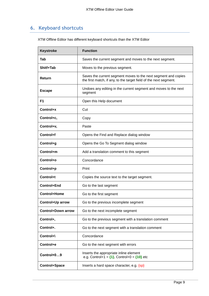# <span id="page-8-0"></span>**6. Keyboard shortcuts**

XTM Offline Editor has different keyboard shortcuts than the XTM Editor

| <b>Keystroke</b>          | <b>Function</b>                                                                                                                     |
|---------------------------|-------------------------------------------------------------------------------------------------------------------------------------|
| Tab                       | Saves the current segment and moves to the next segment.                                                                            |
| Shitf+Tab                 | Moves to the previous segment.                                                                                                      |
| Return                    | Saves the current segment moves to the next segment and copies<br>the first match, if any, to the target field of the next segment. |
| <b>Escape</b>             | Undoes any editing in the current segment and moves to the next<br>segment                                                          |
| F <sub>1</sub>            | Open this Help document                                                                                                             |
| Control+x                 | Cut                                                                                                                                 |
| Control+c,                | Copy                                                                                                                                |
| Control+v,                | Paste                                                                                                                               |
| Control+f                 | Opens the Find and Replace dialog window                                                                                            |
| Control+g                 | Opens the Go To Segment dialog window                                                                                               |
| Control+m                 | Add a translation comment to this segment                                                                                           |
| Control+o                 | Concordance                                                                                                                         |
| Control+p                 | Print                                                                                                                               |
| Control+t                 | Copies the source text to the target segment.                                                                                       |
| Control+End               | Go to the last segment                                                                                                              |
| Control+Home              | Go to the first segment                                                                                                             |
| Control+Up arrow          | Go to the previous incomplete segment                                                                                               |
| <b>Control+Down arrow</b> | Go to the next incomplete segment                                                                                                   |
| Control+,                 | Go to the previous segment with a translation comment                                                                               |
| Control+.                 | Go to the next segment with a translation comment                                                                                   |
| Control+\                 | Concordance                                                                                                                         |
| Control+e                 | Go to the next segment with errors                                                                                                  |
| Control+09                | Inserts the appropriate inline element<br>e.g. Control+1 = $\{1\}$ , Control+0 = $\{10\}$ etc                                       |
| Control+Space             | Inserts a hard space character, e.g. {sp}                                                                                           |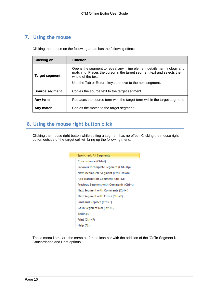## <span id="page-9-0"></span>**7. Using the mouse**

Clicking the mouse on the following areas has the following effect:

| <b>Clicking on</b>    | <b>Function</b>                                                                                                                                                         |
|-----------------------|-------------------------------------------------------------------------------------------------------------------------------------------------------------------------|
| <b>Target segment</b> | Opens the segment to reveal any inline element details, terminology and<br>matching. Places the cursor in the target segment text and selects the<br>whole of the text. |
|                       | Use the Tab or Return keys to move to the next segment.                                                                                                                 |
| Source segment        | Copies the source text to the target segment                                                                                                                            |
| Any term              | Replaces the source term with the target term within the target segment.                                                                                                |
| Any match             | Copies the match to the target segment                                                                                                                                  |

## <span id="page-9-1"></span>**8. Using the mouse right button click**

Clicking the mouse right button while editing a segment has no effect. Clicking the mouse right button outside of the target cell will bring up the following menu:

| Spellcheck All Segments                 |
|-----------------------------------------|
| Concordance (Ctrl+\)                    |
| Previous Incomplete Segment (Ctrl+Up)   |
| Next Incomplete Segment (Ctrl+Down)     |
| Add Translation Comment (Ctrl+M)        |
| Previous Segment with Comments (Ctrl+,) |
| Next Segment with Comments (Ctrl+.)     |
| Next Segment with Errors (Ctrl+E)       |
| Find and Replace (Ctrl+F)               |
| GoTo Segment No: (Ctrl+G)               |
| <b>Settings</b>                         |
| Print (Ctrl+P)                          |
| Help (F1)                               |

These menu items are the same as for the icon bar with the addition of the 'GoTo Segment No:', Concordance and Print options.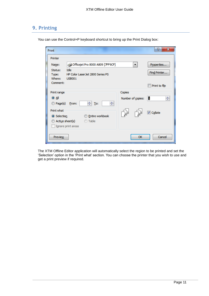### <span id="page-10-0"></span>**9. Printing**

| Print                        |                                                                                            |                                    | P<br>x           |
|------------------------------|--------------------------------------------------------------------------------------------|------------------------------------|------------------|
| Printer                      |                                                                                            |                                    |                  |
| Name:                        | G Officejet Pro 8000 A809 [7FF9CF]                                                         | ▼                                  | Properties       |
| Status:<br>Type:<br>Where:   | Idle<br>HP Color Laser Jet 2800 Series PS<br><b>USB001</b>                                 |                                    | Find Printer     |
| Comment:                     |                                                                                            |                                    | Print to file    |
| Print range                  |                                                                                            | Copies                             |                  |
| $\odot$ All<br>Page(s) From: | 싂<br>≑∥ <u>T</u> o:                                                                        | Number of copies:                  | ÷<br>Ŀ           |
| Print what<br>Selection      | <b>Entire workbook</b><br>Acti <u>v</u> e sheet(s)<br><b>C</b> Table<br>Ignore print areas | $\frac{1}{2}$<br>$\frac{ 2 3 }{2}$ | <b>V</b> Collate |
| <b>Preview</b>               |                                                                                            | OK                                 | Cancel           |

You can use the Control+P keyboard shortcut to bring up the Print Dialog box:

The XTM Offline Editor application will automatically select the region to be printed and set the 'Selection' option in the 'Print what' section. You can choose the printer that you wish to use and get a print preview if required.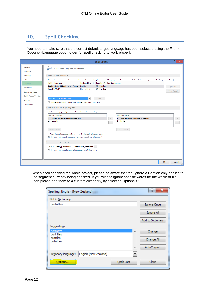## <span id="page-11-0"></span>**10. Spell Checking**

You need to make sure that the correct default target language has been selected using the File-> Options->Language option order for spell checking to work properly:

|                                          | 2<br>$\times$<br><b>Excel Options</b>                                                                                                                                                                   |  |
|------------------------------------------|---------------------------------------------------------------------------------------------------------------------------------------------------------------------------------------------------------|--|
| General<br><b>Formulas</b>               | Set the Office Language Preferences.                                                                                                                                                                    |  |
| Proofing                                 | <b>Choose Editing Languages</b>                                                                                                                                                                         |  |
| Save                                     | Add additional languages to edit your documents. The editing languages set language-specific features, including dictionaries, grammar checking, and sorting $\odot$                                    |  |
| Language                                 | Keyboard Layout Proofing (Spelling, Grammar)<br><b>Editing Language</b>                                                                                                                                 |  |
| Advanced                                 | ABC Installed<br>English (United Kingdom) <default> Enabled<br/>Remove<br/><b>ABC</b><br/>Installed<br/>Spanish (Chile)<br/>Not enabled</default>                                                       |  |
| Customize Ribbon                         | Set as Default                                                                                                                                                                                          |  |
| <b>Ouick Access Toolbar</b>              |                                                                                                                                                                                                         |  |
| Add-Ins                                  | [Add additional editing languages]<br>Add<br>$\vee$                                                                                                                                                     |  |
| <b>Trust Center</b>                      | Let me know when I should download additional proofing tools.                                                                                                                                           |  |
| <b>Choose Display and Help Languages</b> |                                                                                                                                                                                                         |  |
|                                          | Set the language priority order for the buttons, tabs and Help ®                                                                                                                                        |  |
|                                          | Help Language<br>Display Language                                                                                                                                                                       |  |
|                                          | <b>Match Microsoft Windows <default></default></b><br>1. Match Display Language <default><br/>1.<br/><math display="inline">\Delta</math><br/><math display="inline">\hat{\phantom{a}}</math></default> |  |
|                                          | 2. English<br>2.<br>English<br>$\blacktriangledown$<br>$\blacktriangledown$                                                                                                                             |  |
|                                          | Set as Default<br>Set as Default                                                                                                                                                                        |  |
|                                          | > View display languages installed for each Microsoft Office program                                                                                                                                    |  |
|                                          | How do I get more Display and Help languages from Office.com?                                                                                                                                           |  |
|                                          | <b>Choose ScreenTip Language</b>                                                                                                                                                                        |  |
|                                          | Set your Screen Tip language Match Display Language v                                                                                                                                                   |  |
|                                          | How do I get more ScreenTip languages from Office.com?                                                                                                                                                  |  |
|                                          |                                                                                                                                                                                                         |  |
|                                          |                                                                                                                                                                                                         |  |
|                                          | OK<br>Cancel                                                                                                                                                                                            |  |

When spell checking the whole project, please be aware that the 'Ignore All' option only applies to the segment currently being checked. If you wish to ignore specific words for the whole of file then please add them to a custom dictionary, by selecting Options->:

| Spelling: English (New Zealand)               | P<br>$\mathbf{x}$  |
|-----------------------------------------------|--------------------|
| Not in Dictionary:                            |                    |
| portátiles                                    | <b>Ignore Once</b> |
|                                               | Ignore All         |
|                                               | Add to Dictionary  |
| Suggestions:                                  |                    |
| portative<br>业<br>port tiles                  | Change             |
| prattles<br>potatoes                          | Change All         |
| $\overline{\phantom{a}}$                      | AutoCorrect        |
| English (New Zealand)<br>Dictionary language: |                    |
| <del></del><br>Undo Last<br>Options           | Close              |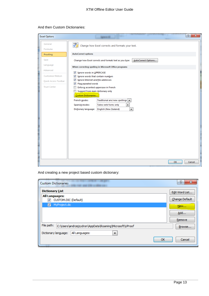| <b>Excel Options</b> |                                                                                   | $\overline{\mathbf{x}}$<br>P |
|----------------------|-----------------------------------------------------------------------------------|------------------------------|
| General              | $\frac{\text{ABC}}{\sqrt{4}}$<br>Change how Excel corrects and formats your text. |                              |
| Formulas             |                                                                                   |                              |
| Proofing             | <b>AutoCorrect options</b>                                                        |                              |
| Save                 | Change how Excel corrects and formats text as you type:<br>AutoCorrect Options    |                              |
| Language             | When correcting spelling in Microsoft Office programs                             |                              |
| Advanced             | Ignore words in UPPERCASE                                                         |                              |
| Customize Ribbon     | Ignore words that contain numbers                                                 |                              |
| Quick Access Toolbar | Ignore Internet and file addresses<br>V Flag repeated words                       |                              |
| <b>Trust Center</b>  | Enforce accented uppercase in French                                              |                              |
|                      | Suggest from main dictionary only                                                 |                              |
|                      | Custom Dictionaries                                                               |                              |
|                      | French modes:<br>Traditional and new spellings $\vert \bullet \vert$              |                              |
|                      | Tuteo verb forms only<br>$\overline{\phantom{a}}$<br>Spanish modes:               |                              |
|                      | $\blacktriangledown$<br>Dictionary language:<br>English (New Zealand)             |                              |
|                      |                                                                                   |                              |
|                      |                                                                                   |                              |
|                      |                                                                                   |                              |
|                      |                                                                                   |                              |
|                      |                                                                                   |                              |
|                      |                                                                                   |                              |
|                      |                                                                                   |                              |
|                      |                                                                                   |                              |
|                      |                                                                                   |                              |
|                      |                                                                                   |                              |
|                      |                                                                                   |                              |
|                      | OK                                                                                | Cancel                       |
|                      |                                                                                   |                              |

#### And then Custom Dictionaries:

And creating a new project based custom dictionary:

| <b>Custom Dictionaries</b>                                            | 8<br>$\mathbf{x}$ |
|-----------------------------------------------------------------------|-------------------|
| <b>Dictionary List</b>                                                | Edit Word List    |
| <b>All Languages:</b><br>CUSTOM.DIC (Default)                         | Change Default    |
| MyProject.dic<br>√                                                    | New               |
|                                                                       | Add               |
|                                                                       | Remove            |
| File path:<br>C:\Users\andrzejzydron\AppData\Roaming\Microsoft\UProof | Browse            |
| Dictionary language:<br>All Languages:<br>▼                           |                   |
| OK                                                                    | Cancel            |